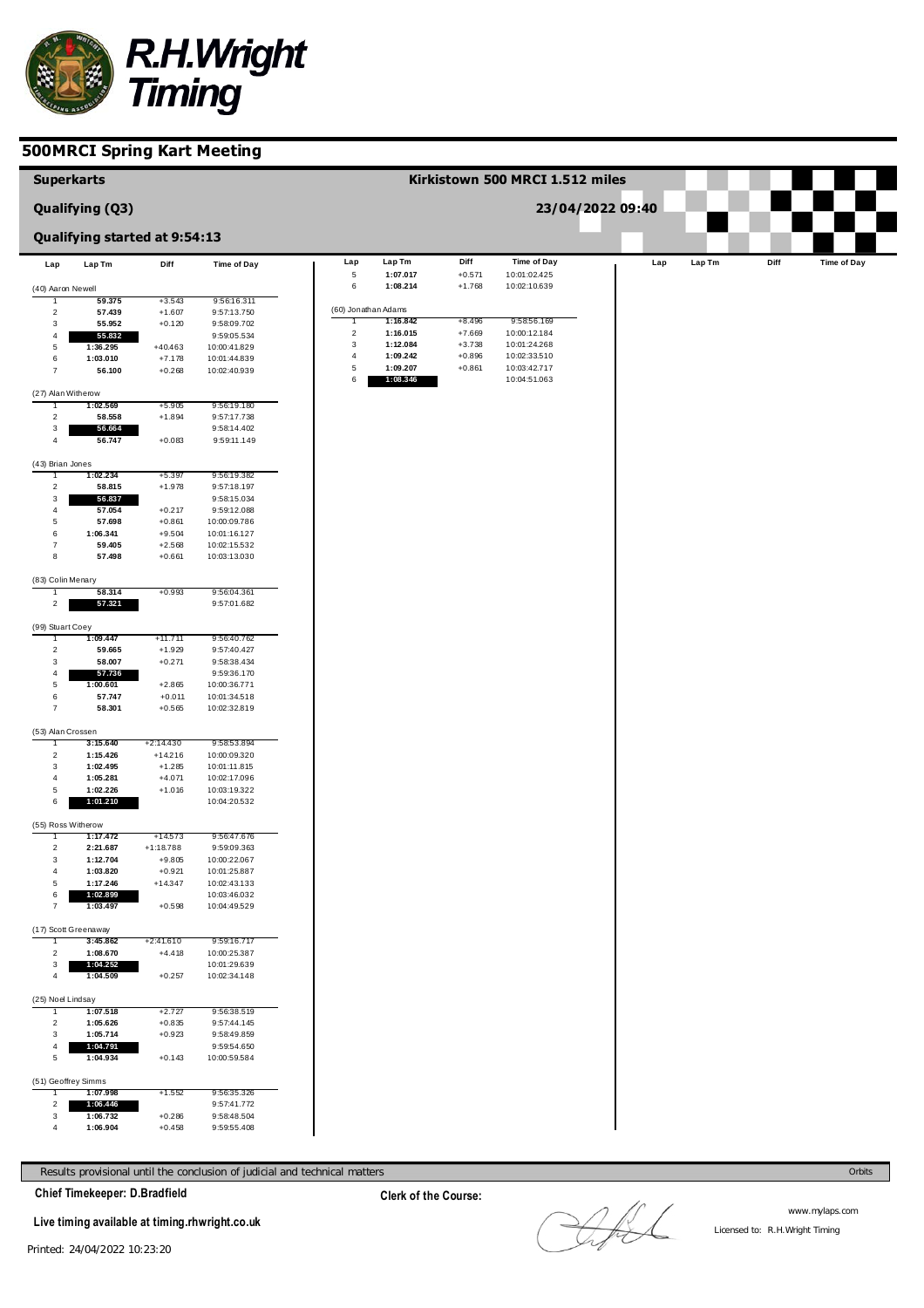

| <b>Superkarts</b>      |                                  |                         |                              |                              |                      |                      | Kirkistown 500 MRCI 1.512 miles |                  |     |        |      |                    |
|------------------------|----------------------------------|-------------------------|------------------------------|------------------------------|----------------------|----------------------|---------------------------------|------------------|-----|--------|------|--------------------|
|                        | Qualifying (Q3)                  |                         |                              |                              |                      |                      |                                 | 23/04/2022 09:40 |     |        |      |                    |
|                        | Qualifying started at 9:54:13    |                         |                              |                              |                      |                      |                                 |                  |     |        |      |                    |
| Lap                    | Lap Tm                           | Diff                    | <b>Time of Day</b>           | Lap                          | Lap Tm               | Diff                 | <b>Time of Day</b>              |                  | Lap | Lap Tm | Diff | <b>Time of Day</b> |
| (40) Aaron Newell      |                                  |                         |                              | $\,$ 5 $\,$<br>6             | 1:07.017<br>1:08.214 | $+0.571$<br>$+1.768$ | 10:01:02.425<br>10:02:10.639    |                  |     |        |      |                    |
|                        | 59.375                           | $+3.543$                | 9:56:16.311                  |                              |                      |                      |                                 |                  |     |        |      |                    |
| $\overline{2}$         | 57.439                           | $+1.607$                | 9:57:13.750                  |                              | (60) Jonathan Adams  |                      |                                 |                  |     |        |      |                    |
| 3                      | 55.952                           | $+0.120$                | 9:58:09.702                  | T                            | 1:16.842             | $+8.496$             | 9:58:56.169                     |                  |     |        |      |                    |
| $\overline{4}$         | 55.832                           |                         | 9:59:05.534                  | $\overline{\mathbf{c}}$<br>3 | 1:16.015<br>1:12.084 | $+7.669$             | 10:00:12.184                    |                  |     |        |      |                    |
| 5                      | 1:36.295                         | $+40.463$               | 10:00:41.829                 | $\overline{4}$               | 1:09.242             | $+3.738$<br>$+0.896$ | 10:01:24.268<br>10:02:33.510    |                  |     |        |      |                    |
| 6<br>$\overline{7}$    | 1:03.010<br>56.100               | $+7.178$<br>$+0.268$    | 10:01:44.839<br>10:02:40.939 | $\,$ 5 $\,$                  | 1:09.207             | $+0.861$             | 10:03:42.717                    |                  |     |        |      |                    |
|                        |                                  |                         |                              | 6                            | 1:08.346             |                      | 10:04:51.063                    |                  |     |        |      |                    |
| (27) Alan Witherow     |                                  |                         |                              |                              |                      |                      |                                 |                  |     |        |      |                    |
|                        | 1:02.569                         | $+5.905$                | 9:56:19.180                  |                              |                      |                      |                                 |                  |     |        |      |                    |
| $\overline{2}$         | 58.558                           | $+1.894$                | 9:57:17.738                  |                              |                      |                      |                                 |                  |     |        |      |                    |
| 3                      | 56.664                           |                         | 9:58:14.402                  |                              |                      |                      |                                 |                  |     |        |      |                    |
| $\overline{4}$         | 56.747                           | $+0.083$                | 9:59:11.149                  |                              |                      |                      |                                 |                  |     |        |      |                    |
| (43) Brian Jones       |                                  |                         |                              |                              |                      |                      |                                 |                  |     |        |      |                    |
| 1                      | 1:02.234                         | $+5.397$                | 9:56:19.382                  |                              |                      |                      |                                 |                  |     |        |      |                    |
| $\overline{2}$         | 58.815                           | $+1.978$                | 9:57:18.197                  |                              |                      |                      |                                 |                  |     |        |      |                    |
| 3                      | 56.837                           |                         | 9:58:15.034                  |                              |                      |                      |                                 |                  |     |        |      |                    |
| $\overline{4}$         | 57.054                           | $+0.217$                | 9:59:12.088                  |                              |                      |                      |                                 |                  |     |        |      |                    |
| $\overline{5}$         | 57.698                           | $+0.861$                | 10:00:09.786                 |                              |                      |                      |                                 |                  |     |        |      |                    |
| 6<br>$\overline{7}$    | 1:06.341<br>59.405               | $+9.504$                | 10:01:16.127                 |                              |                      |                      |                                 |                  |     |        |      |                    |
| 8                      | 57.498                           | $+2.568$<br>$+0.661$    | 10:02:15.532<br>10:03:13.030 |                              |                      |                      |                                 |                  |     |        |      |                    |
|                        |                                  |                         |                              |                              |                      |                      |                                 |                  |     |        |      |                    |
| (83) Colin Menary      |                                  |                         |                              |                              |                      |                      |                                 |                  |     |        |      |                    |
|                        | 58.314                           | $+0.993$                | 9:56:04.361                  |                              |                      |                      |                                 |                  |     |        |      |                    |
| $\overline{2}$         | 57.321                           |                         | 9:57:01.682                  |                              |                      |                      |                                 |                  |     |        |      |                    |
| (99) Stuart Coey       |                                  |                         |                              |                              |                      |                      |                                 |                  |     |        |      |                    |
|                        | 1:09.447                         | +11.711                 | 9:56:40.762                  |                              |                      |                      |                                 |                  |     |        |      |                    |
| $\overline{2}$         | 59.665                           | $+1.929$                | 9:57:40.427                  |                              |                      |                      |                                 |                  |     |        |      |                    |
| 3                      | 58.007                           | $+0.271$                | 9:58:38.434                  |                              |                      |                      |                                 |                  |     |        |      |                    |
| 4                      | 57.736                           |                         | 9:59:36.170                  |                              |                      |                      |                                 |                  |     |        |      |                    |
| $\overline{5}$         | 1:00.601                         | $+2.865$                | 10:00:36.771                 |                              |                      |                      |                                 |                  |     |        |      |                    |
| 6<br>$\overline{7}$    | 57.747<br>58.301                 | $+0.011$                | 10:01:34.518                 |                              |                      |                      |                                 |                  |     |        |      |                    |
|                        |                                  | $+0.565$                | 10:02:32.819                 |                              |                      |                      |                                 |                  |     |        |      |                    |
| (53) Alan Crossen      |                                  |                         |                              |                              |                      |                      |                                 |                  |     |        |      |                    |
|                        | 3:15.640                         | +2:14.430               | 9:58:53.894                  |                              |                      |                      |                                 |                  |     |        |      |                    |
| $\overline{2}$         | 1:15.426                         | $+14.216$               | 10:00:09.320                 |                              |                      |                      |                                 |                  |     |        |      |                    |
| 3                      | 1:02.495                         | $+1.285$                | 10:01:11.815                 |                              |                      |                      |                                 |                  |     |        |      |                    |
| 4<br>5                 | 1:05.281<br>1:02.226             | $+4.071$<br>$+1.016$    | 10:02:17.096<br>10:03:19.322 |                              |                      |                      |                                 |                  |     |        |      |                    |
| 6                      | 1:01.210                         |                         | 10:04:20.532                 |                              |                      |                      |                                 |                  |     |        |      |                    |
|                        |                                  |                         |                              |                              |                      |                      |                                 |                  |     |        |      |                    |
| (55) Ross Witherow     |                                  |                         |                              |                              |                      |                      |                                 |                  |     |        |      |                    |
|                        | 1:17.472                         | $+14.573$               | 9:56:47.676<br>9:59:09.363   |                              |                      |                      |                                 |                  |     |        |      |                    |
| $\overline{2}$<br>3    | 2:21.687<br>1:12.704             | $+1:18.788$<br>$+9.805$ | 10:00:22.067                 |                              |                      |                      |                                 |                  |     |        |      |                    |
| $\overline{4}$         | 1:03.820                         | $+0.921$                | 10:01:25.887                 |                              |                      |                      |                                 |                  |     |        |      |                    |
| $\overline{5}$         | 1:17.246                         | $+14.347$               | 10:02:43.133                 |                              |                      |                      |                                 |                  |     |        |      |                    |
| 6                      | 1:02.899                         |                         | 10:03:46.032                 |                              |                      |                      |                                 |                  |     |        |      |                    |
| $\overline{7}$         | 1:03.497                         | $+0.598$                | 10:04:49.529                 |                              |                      |                      |                                 |                  |     |        |      |                    |
|                        |                                  |                         |                              |                              |                      |                      |                                 |                  |     |        |      |                    |
| 1.                     | (17) Scott Greenaway<br>3:45.862 | +2:41.610               | 9:59:16.717                  |                              |                      |                      |                                 |                  |     |        |      |                    |
| $\overline{2}$         | 1:08.670                         | $+4.418$                | 10:00:25.387                 |                              |                      |                      |                                 |                  |     |        |      |                    |
| 3                      | 1:04.252                         |                         | 10:01:29.639                 |                              |                      |                      |                                 |                  |     |        |      |                    |
| $\overline{4}$         | 1:04.509                         | $+0.257$                | 10:02:34.148                 |                              |                      |                      |                                 |                  |     |        |      |                    |
|                        |                                  |                         |                              |                              |                      |                      |                                 |                  |     |        |      |                    |
| (25) Noel Lindsay<br>ı | 1:07.518                         | +2.727                  | 9:56:38.519                  |                              |                      |                      |                                 |                  |     |        |      |                    |
| $\overline{2}$         | 1:05.626                         | $+0.835$                | 9:57:44.145                  |                              |                      |                      |                                 |                  |     |        |      |                    |
| 3                      | 1:05.714                         | $+0.923$                | 9:58:49.859                  |                              |                      |                      |                                 |                  |     |        |      |                    |
| 4                      | 1:04.791                         |                         | 9:59:54.650                  |                              |                      |                      |                                 |                  |     |        |      |                    |
| 5                      | 1:04.934                         | $+0.143$                | 10:00:59.584                 |                              |                      |                      |                                 |                  |     |        |      |                    |
|                        |                                  |                         |                              |                              |                      |                      |                                 |                  |     |        |      |                    |
| (51) Geoffrey Simms    |                                  |                         |                              |                              |                      |                      |                                 |                  |     |        |      |                    |
| $\overline{2}$         | 1:07.998<br>1:06.446             | $+1.552$                | 9:56:35.326<br>9:57:41.772   |                              |                      |                      |                                 |                  |     |        |      |                    |
| $\mathbf{3}$           | 1:06.732                         | $+0.286$                | 9:58:48.504                  |                              |                      |                      |                                 |                  |     |        |      |                    |
| $\overline{4}$         | 1:06.904                         | $+0.458$                | 9:59:55.408                  |                              |                      |                      |                                 |                  |     |        |      |                    |

Results provisional until the conclusion of judicial and technical matters **Concretive Concretive Concretive Concretive Concretive Concretive Concretive Concretive Concretive Concretive Concretive Concretive Concretive Con** 

**Chief Timekeeper: D.Bradfield**

**Live timing available at timing.rhwright.co.uk**

**Clerk of the Course:**

LAL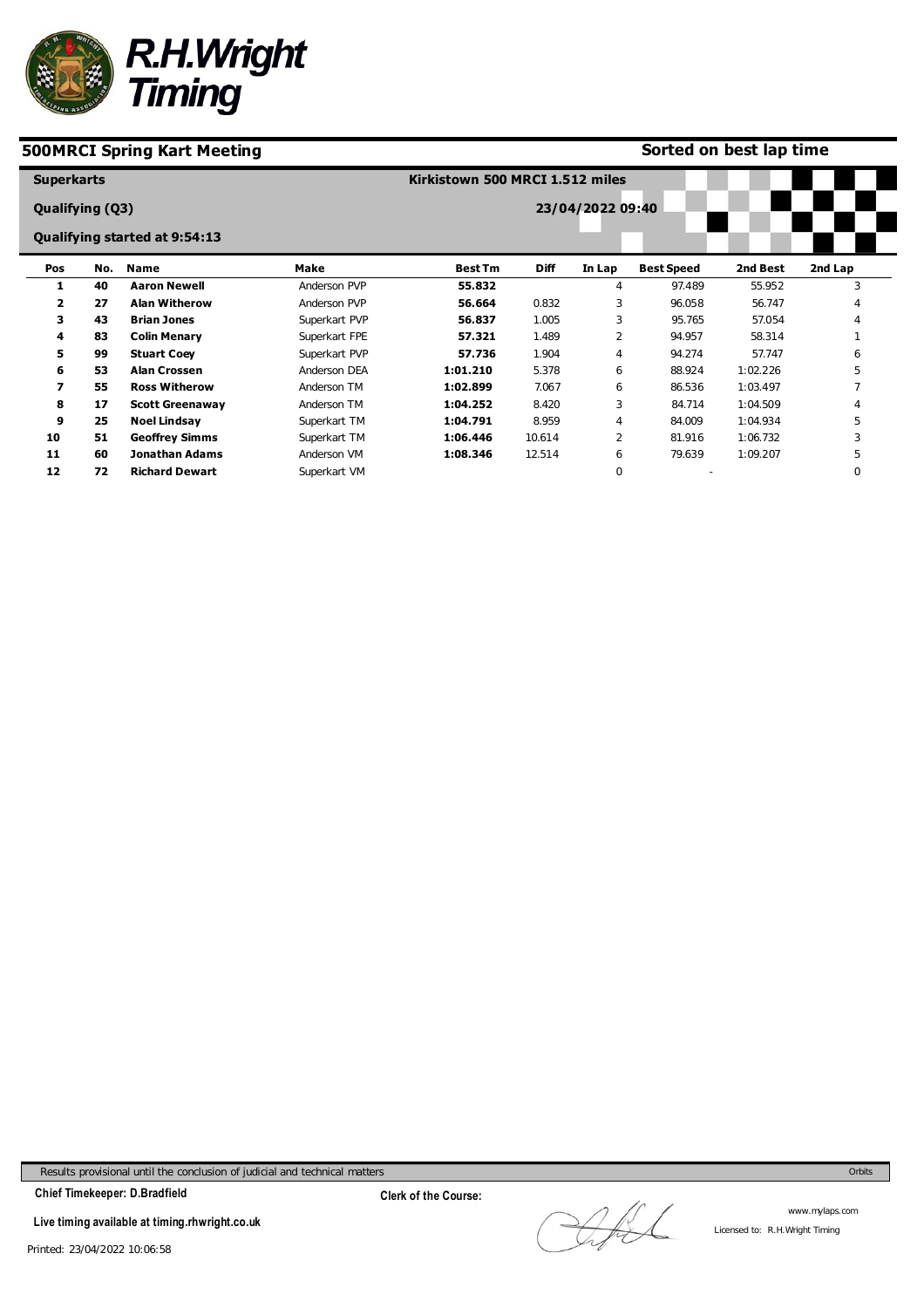

#### **Sorted on best lap time**

| <b>Superkarts</b>      |     |                               |               | Kirkistown 500 MRCI 1.512 miles |             |                  |                   |          |          |
|------------------------|-----|-------------------------------|---------------|---------------------------------|-------------|------------------|-------------------|----------|----------|
| <b>Qualifying (Q3)</b> |     |                               |               |                                 |             | 23/04/2022 09:40 |                   |          |          |
|                        |     | Qualifying started at 9:54:13 |               |                                 |             |                  |                   |          |          |
| Pos                    | No. | Name                          | Make          | <b>Best Tm</b>                  | <b>Diff</b> | In Lap           | <b>Best Speed</b> | 2nd Best | 2nd Lap  |
| 1                      | 40  | <b>Aaron Newell</b>           | Anderson PVP  | 55.832                          |             | 4                | 97.489            | 55.952   | 3        |
| $\overline{2}$         | 27  | <b>Alan Witherow</b>          | Anderson PVP  | 56.664                          | 0.832       | 3                | 96.058            | 56.747   |          |
| з                      | 43  | <b>Brian Jones</b>            | Superkart PVP | 56.837                          | 1.005       | 3                | 95.765            | 57.054   |          |
| 4                      | 83  | <b>Colin Menary</b>           | Superkart FPE | 57.321                          | 1.489       | $\overline{2}$   | 94.957            | 58.314   |          |
| 5                      | 99  | <b>Stuart Coey</b>            | Superkart PVP | 57.736                          | 1.904       | 4                | 94.274            | 57.747   | 6        |
| 6                      | 53  | <b>Alan Crossen</b>           | Anderson DEA  | 1:01.210                        | 5.378       | 6                | 88.924            | 1:02.226 | 5        |
| 7                      | 55  | <b>Ross Witherow</b>          | Anderson TM   | 1:02.899                        | 7.067       | 6                | 86.536            | 1:03.497 |          |
| 8                      | 17  | <b>Scott Greenaway</b>        | Anderson TM   | 1:04.252                        | 8.420       | 3                | 84.714            | 1:04.509 |          |
| 9                      | 25  | <b>Noel Lindsay</b>           | Superkart TM  | 1:04.791                        | 8.959       | 4                | 84.009            | 1:04.934 | 5        |
| 10                     | 51  | <b>Geoffrey Simms</b>         | Superkart TM  | 1:06.446                        | 10.614      | 2                | 81.916            | 1:06.732 | 3        |
| 11                     | 60  | Jonathan Adams                | Anderson VM   | 1:08.346                        | 12.514      | 6                | 79.639            | 1:09.207 | 5        |
| 12                     | 72  | <b>Richard Dewart</b>         | Superkart VM  |                                 |             | 0                |                   |          | $\Omega$ |

Results provisional until the conclusion of judicial and technical matters Orbits

**Chief Timekeeper: D.Bradfield**

**Live timing available at timing.rhwright.co.uk**

Afl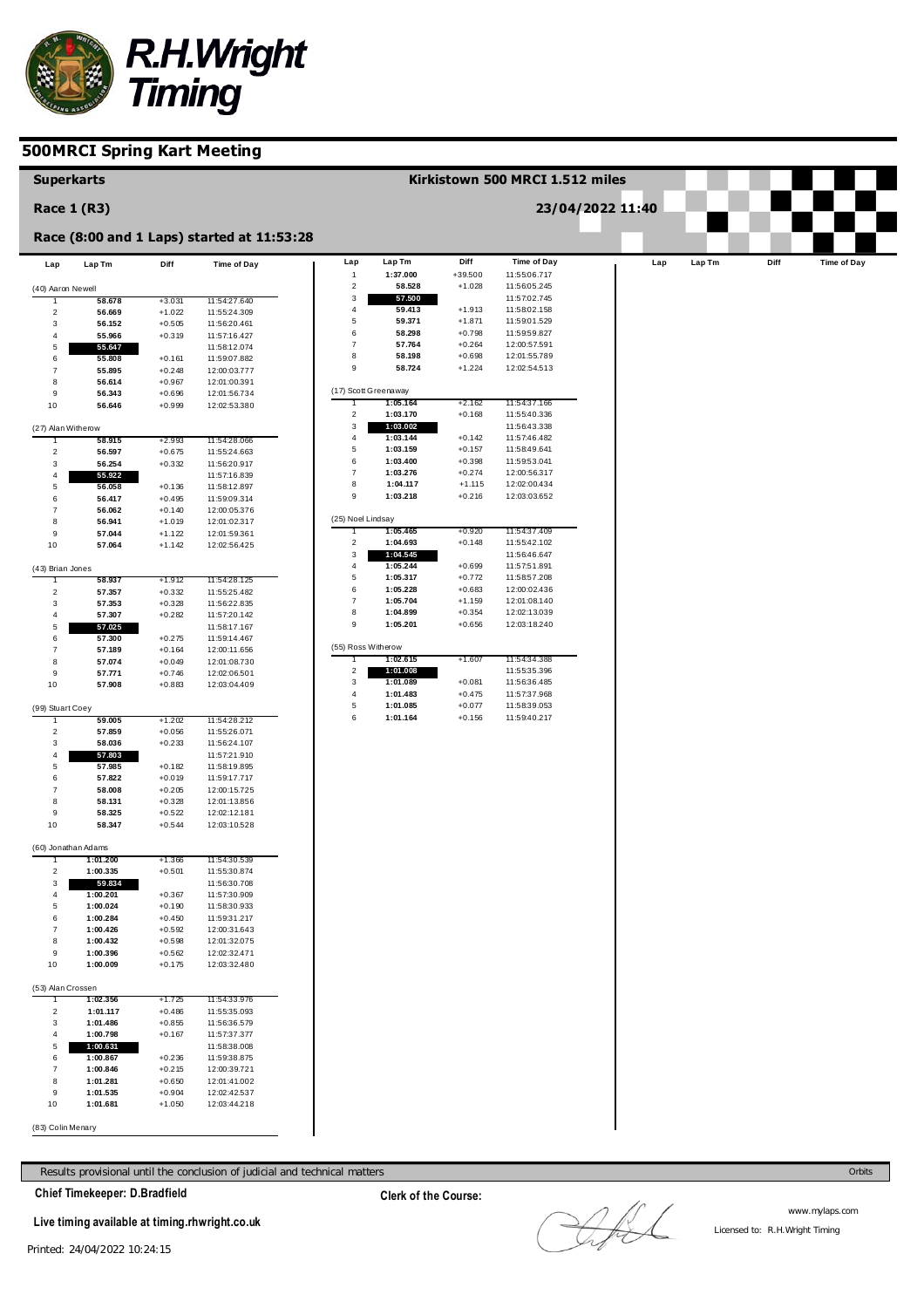

| <b>Superkarts</b>       |                      |                      |                                            |                                         |                      |                      | Kirkistown 500 MRCI 1.512 miles |                  |        |      |             |
|-------------------------|----------------------|----------------------|--------------------------------------------|-----------------------------------------|----------------------|----------------------|---------------------------------|------------------|--------|------|-------------|
|                         | <b>Race 1 (R3)</b>   |                      |                                            |                                         |                      |                      |                                 | 23/04/2022 11:40 |        |      |             |
|                         |                      |                      | Race (8:00 and 1 Laps) started at 11:53:28 |                                         |                      |                      |                                 |                  |        |      |             |
| Lap                     | Lap Tm               | Diff                 | Time of Day                                | Lap                                     | Lap Tm               | Diff                 | Time of Day                     | Lap              | Lap Tm | Diff | Time of Day |
|                         |                      |                      |                                            | $\mathbf{1}$<br>$\overline{\mathbf{c}}$ | 1:37.000<br>58.528   | +39.500<br>$+1.028$  | 11:55:06.717<br>11:56:05.245    |                  |        |      |             |
| (40) Aaron Newell       | 58.678               | $+3.031$             | 11:54:27.640                               | 3                                       | 57.500               |                      | 11:57:02.745                    |                  |        |      |             |
| $\overline{2}$          | 56.669               | $+1.022$             | 11:55:24.309                               | 4                                       | 59.413               | $+1.913$             | 11:58:02.158                    |                  |        |      |             |
| 3                       | 56.152               | $+0.505$             | 11:56:20.461                               | $\mathbf 5$                             | 59.371               | $+1.871$             | 11:59:01.529                    |                  |        |      |             |
| 4                       | 55.966               | $+0.319$             | 11:57:16.427                               | 6                                       | 58.298               | $+0.798$             | 11:59:59.827                    |                  |        |      |             |
| 5                       | 55.647               |                      | 11:58:12.074                               | $\overline{7}$<br>8                     | 57.764<br>58.198     | $+0.264$<br>$+0.698$ | 12:00:57.591<br>12:01:55.789    |                  |        |      |             |
| 6<br>$\overline{7}$     | 55.808<br>55.895     | $+0.161$<br>$+0.248$ | 11:59:07.882<br>12:00:03.777               | 9                                       | 58.724               | $+1.224$             | 12:02:54.513                    |                  |        |      |             |
| 8                       | 56.614               | $+0.967$             | 12:01:00.391                               |                                         |                      |                      |                                 |                  |        |      |             |
| 9                       | 56.343               | $+0.696$             | 12:01:56.734                               |                                         | (17) Scott Greenaway |                      |                                 |                  |        |      |             |
| 10                      | 56.646               | $+0.999$             | 12:02:53.380                               | 1                                       | 1:05.164             | $+2.162$             | 11:54:37.166                    |                  |        |      |             |
|                         |                      |                      |                                            | $\overline{2}$                          | 1:03.170             | $+0.168$             | 11:55:40.336                    |                  |        |      |             |
| (27) Alan Witherow      |                      |                      |                                            | 3<br>$\overline{4}$                     | 1:03.002<br>1:03.144 | $+0.142$             | 11:56:43.338<br>11:57:46.482    |                  |        |      |             |
| 1<br>$\overline{2}$     | 58.915<br>56.597     | $+2.993$<br>$+0.675$ | 11:54:28.066<br>11:55:24.663               | $\mathbf 5$                             | 1:03.159             | $+0.157$             | 11:58:49.641                    |                  |        |      |             |
| 3                       | 56.254               | $+0.332$             | 11:56:20.917                               | 6                                       | 1:03.400             | $+0.398$             | 11:59:53.041                    |                  |        |      |             |
| $\overline{\mathbf{4}}$ | 55.922               |                      | 11:57:16.839                               | $\overline{7}$                          | 1:03.276             | $+0.274$             | 12:00:56.317                    |                  |        |      |             |
| 5                       | 56.058               | $+0.136$             | 11:58:12.897                               | 8                                       | 1:04.117             | $+1.115$             | 12:02:00.434                    |                  |        |      |             |
| 6                       | 56.417               | $+0.495$             | 11:59:09.314                               | 9                                       | 1:03.218             | $+0.216$             | 12:03:03.652                    |                  |        |      |             |
| $\overline{7}$          | 56.062               | $+0.140$             | 12:00:05.376                               |                                         | (25) Noel Lindsay    |                      |                                 |                  |        |      |             |
| 8<br>9                  | 56.941<br>57.044     | $+1.019$<br>$+1.122$ | 12:01:02.317                               |                                         | 1:05.465             | $+0.920$             | 11:54:37.409                    |                  |        |      |             |
| 10                      | 57.064               | $+1.142$             | 12:01:59.361<br>12:02:56.425               | $\overline{\mathbf{c}}$                 | 1:04.693             | $+0.148$             | 11:55:42.102                    |                  |        |      |             |
|                         |                      |                      |                                            | 3                                       | 1:04.545             |                      | 11:56:46.647                    |                  |        |      |             |
| (43) Brian Jones        |                      |                      |                                            | 4                                       | 1:05.244             | $+0.699$             | 11:57:51.891                    |                  |        |      |             |
| 1                       | 58.937               | +1.912               | 11:54:28.125                               | $\mathbf 5$                             | 1:05.317             | $+0.772$             | 11:58:57.208                    |                  |        |      |             |
| $\overline{2}$          | 57.357               | $+0.332$             | 11:55:25.482                               | 6<br>$\overline{7}$                     | 1:05.228<br>1:05.704 | $+0.683$<br>$+1.159$ | 12:00:02.436<br>12:01:08.140    |                  |        |      |             |
| 3<br>4                  | 57.353<br>57.307     | $+0.328$<br>$+0.282$ | 11:56:22.835<br>11:57:20.142               | 8                                       | 1:04.899             | $+0.354$             | 12:02:13.039                    |                  |        |      |             |
| 5                       | 57.025               |                      | 11:58:17.167                               | 9                                       | 1:05.201             | $+0.656$             | 12:03:18.240                    |                  |        |      |             |
| 6                       | 57.300               | $+0.275$             | 11:59:14.467                               |                                         |                      |                      |                                 |                  |        |      |             |
| $\overline{7}$          | 57.189               | $+0.164$             | 12:00:11.656                               |                                         | (55) Ross Witherow   |                      |                                 |                  |        |      |             |
| 8                       | 57.074               | $+0.049$             | 12:01:08.730                               | T                                       | 1:02.615             | $+1.607$             | 11:54:34.388                    |                  |        |      |             |
| 9                       | 57.771               | $+0.746$             | 12:02:06.501                               | $\overline{c}$<br>3                     | 1:01.008<br>1:01.089 | $+0.081$             | 11:55:35.396<br>11:56:36.485    |                  |        |      |             |
| 10                      | 57.908               | $+0.883$             | 12:03:04.409                               | 4                                       | 1:01.483             | $+0.475$             | 11:57:37.968                    |                  |        |      |             |
| (99) Stuart Coey        |                      |                      |                                            | $\mathbf 5$                             | 1:01.085             | $+0.077$             | 11:58:39.053                    |                  |        |      |             |
|                         | 59.005               | $+1.202$             | 11:54:28.212                               | 6                                       | 1:01.164             | $+0.156$             | 11:59:40.217                    |                  |        |      |             |
| $\overline{2}$          | 57.859               | $+0.056$             | 11:55:26.071                               |                                         |                      |                      |                                 |                  |        |      |             |
| 3                       | 58.036               | $+0.233$             | 11:56:24.107                               |                                         |                      |                      |                                 |                  |        |      |             |
| 4<br>5                  | 57.803<br>57.985     | $+0.182$             | 11:57:21.910<br>11:58:19.895               |                                         |                      |                      |                                 |                  |        |      |             |
| 6                       | 57.822               | $+0.019$             | 11:59:17.717                               |                                         |                      |                      |                                 |                  |        |      |             |
| $\overline{7}$          | 58.008               | $+0.205$             | 12:00:15.725                               |                                         |                      |                      |                                 |                  |        |      |             |
| 8                       | 58.131               | $+0.328$             | 12:01:13.856                               |                                         |                      |                      |                                 |                  |        |      |             |
| 9                       | 58.325               | $+0.522$             | 12:02:12.181                               |                                         |                      |                      |                                 |                  |        |      |             |
| 10                      | 58.347               | $+0.544$             | 12:03:10.528                               |                                         |                      |                      |                                 |                  |        |      |             |
|                         | (60) Jonathan Adams  |                      |                                            |                                         |                      |                      |                                 |                  |        |      |             |
|                         | 1 :U1 .ZUU           | $+1.300$             | 11:54:30.539                               |                                         |                      |                      |                                 |                  |        |      |             |
| $\overline{2}$          | 1:00.335             | $+0.501$             | 11:55:30.874                               |                                         |                      |                      |                                 |                  |        |      |             |
| 3                       | 59.834               |                      | 11:56:30.708                               |                                         |                      |                      |                                 |                  |        |      |             |
| 4                       | 1:00.201             | $+0.367$             | 11:57:30.909                               |                                         |                      |                      |                                 |                  |        |      |             |
| 5<br>6                  | 1:00.024<br>1:00.284 | $+0.190$<br>$+0.450$ | 11:58:30.933<br>11:59:31.217               |                                         |                      |                      |                                 |                  |        |      |             |
| $\overline{7}$          | 1:00.426             | $+0.592$             | 12:00:31.643                               |                                         |                      |                      |                                 |                  |        |      |             |
| 8                       | 1:00.432             | $+0.598$             | 12:01:32.075                               |                                         |                      |                      |                                 |                  |        |      |             |
| 9                       | 1:00.396             | $+0.562$             | 12:02:32.471                               |                                         |                      |                      |                                 |                  |        |      |             |
| 10                      | 1:00.009             | $+0.175$             | 12:03:32.480                               |                                         |                      |                      |                                 |                  |        |      |             |
| (53) Alan Crossen       |                      |                      |                                            |                                         |                      |                      |                                 |                  |        |      |             |
| Т                       | 1:02.356             | $+1.725$             | 11:54:33.976                               |                                         |                      |                      |                                 |                  |        |      |             |
| $\overline{c}$          | 1:01.117             | $+0.486$             | 11:55:35.093                               |                                         |                      |                      |                                 |                  |        |      |             |
| 3                       | 1:01.486             | $+0.855$             | 11:56:36.579                               |                                         |                      |                      |                                 |                  |        |      |             |
| $\overline{4}$<br>5     | 1:00.798<br>1:00.631 | $+0.167$             | 11:57:37.377<br>11:58:38.008               |                                         |                      |                      |                                 |                  |        |      |             |
| 6                       | 1:00.867             | $+0.236$             | 11:59:38.875                               |                                         |                      |                      |                                 |                  |        |      |             |
| 7                       | 1:00.846             | $+0.215$             | 12:00:39.721                               |                                         |                      |                      |                                 |                  |        |      |             |
| 8                       | 1:01.281             | $+0.650$             | 12:01:41.002                               |                                         |                      |                      |                                 |                  |        |      |             |
| 9                       | 1:01.535             | $+0.904$             | 12:02:42.537                               |                                         |                      |                      |                                 |                  |        |      |             |
| 10                      | 1:01.681             | $+1.050$             | 12:03:44.218                               |                                         |                      |                      |                                 |                  |        |      |             |
| (83) Colin Menary       |                      |                      |                                            |                                         |                      |                      |                                 |                  |        |      |             |
|                         |                      |                      |                                            |                                         |                      |                      |                                 |                  |        |      |             |

Results provisional until the conclusion of judicial and technical matters Orbits

**Chief Timekeeper: D.Bradfield**

**Live timing available at timing.rhwright.co.uk**

**Clerk of the Course:**

LAL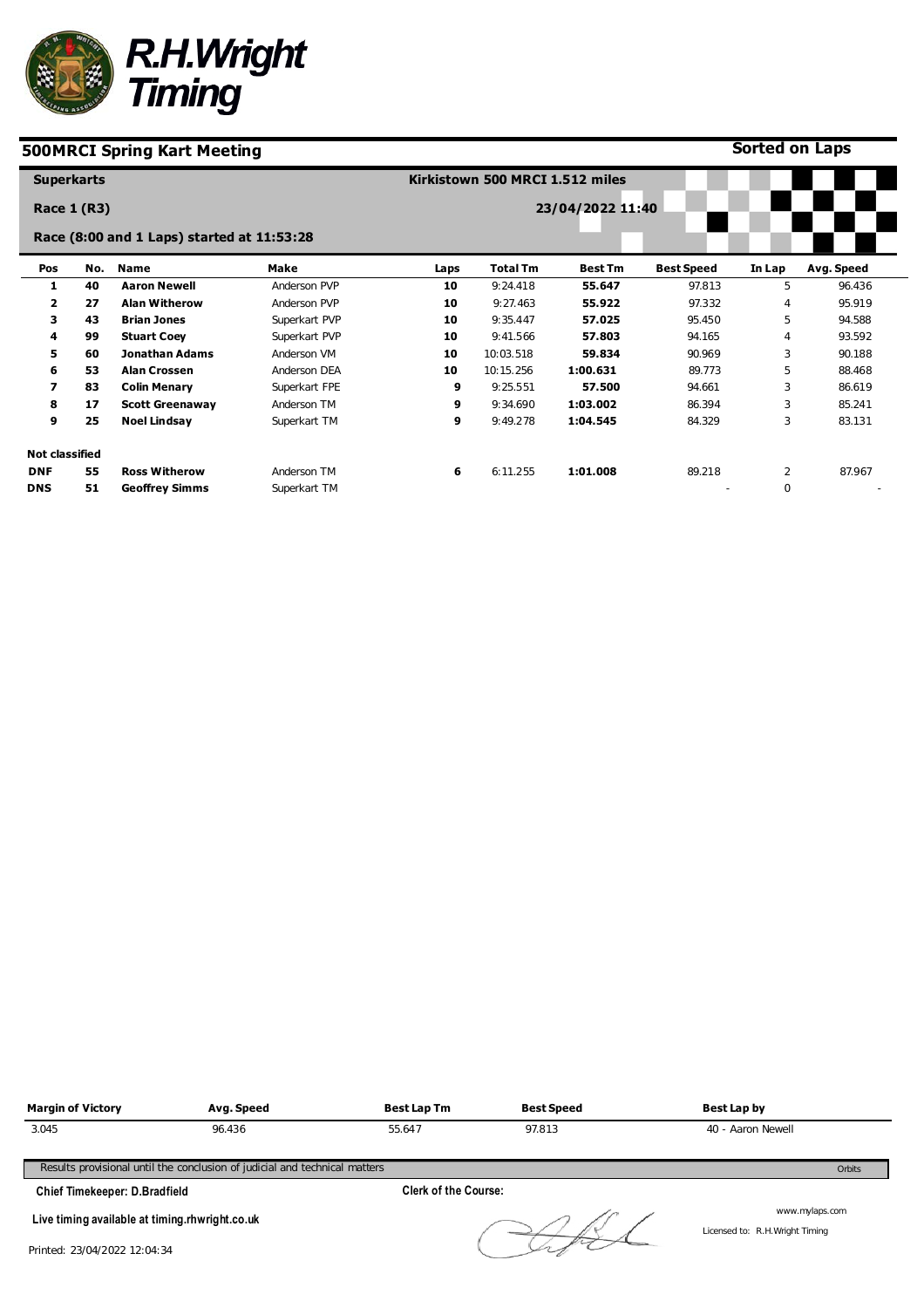

**Sorted on Laps**

Licensed to: R.H.Wright Timing

| <b>Superkarts</b>        |     |                                            |               |      | Kirkistown 500 MRCI 1.512 miles |                  |                   |                |            |
|--------------------------|-----|--------------------------------------------|---------------|------|---------------------------------|------------------|-------------------|----------------|------------|
| Race 1 (R3)              |     |                                            |               |      |                                 | 23/04/2022 11:40 |                   |                |            |
|                          |     | Race (8:00 and 1 Laps) started at 11:53:28 |               |      |                                 |                  |                   |                |            |
| Pos                      | No. | Name                                       | Make          | Laps | <b>Total Tm</b>                 | <b>Best Tm</b>   | <b>Best Speed</b> | In Lap         | Avg. Speed |
| 1                        | 40  | <b>Aaron Newell</b>                        | Anderson PVP  | 10   | 9:24.418                        | 55.647           | 97.813            | 5              | 96.436     |
| $\overline{2}$           | 27  | <b>Alan Witherow</b>                       | Anderson PVP  | 10   | 9:27.463                        | 55.922           | 97.332            | 4              | 95.919     |
| 3                        | 43  | <b>Brian Jones</b>                         | Superkart PVP | 10   | 9:35.447                        | 57.025           | 95.450            | 5              | 94.588     |
| 4                        | 99  | <b>Stuart Coey</b>                         | Superkart PVP | 10   | 9:41.566                        | 57.803           | 94.165            | 4              | 93.592     |
| 5.                       | 60  | <b>Jonathan Adams</b>                      | Anderson VM   | 10   | 10:03.518                       | 59.834           | 90.969            | 3              | 90.188     |
| 6                        | 53  | <b>Alan Crossen</b>                        | Anderson DEA  | 10   | 10:15.256                       | 1:00.631         | 89.773            | 5              | 88.468     |
| $\overline{\phantom{a}}$ | 83  | <b>Colin Menary</b>                        | Superkart FPE | 9    | 9:25.551                        | 57.500           | 94.661            | 3              | 86.619     |
| 8                        | 17  | <b>Scott Greenaway</b>                     | Anderson TM   | 9    | 9:34.690                        | 1:03.002         | 86.394            | 3              | 85.241     |
| 9                        | 25  | <b>Noel Lindsay</b>                        | Superkart TM  | 9    | 9:49.278                        | 1:04.545         | 84.329            | 3              | 83.131     |
| <b>Not classified</b>    |     |                                            |               |      |                                 |                  |                   |                |            |
| <b>DNF</b>               | 55  | <b>Ross Witherow</b>                       | Anderson TM   | 6    | 6:11.255                        | 1:01.008         | 89.218            | $\overline{2}$ | 87.967     |
| <b>DNS</b>               | 51  | <b>Geoffrey Simms</b>                      | Superkart TM  |      |                                 |                  |                   | $\mathbf 0$    |            |



**Live timing available at timing.rhwright.co.uk**

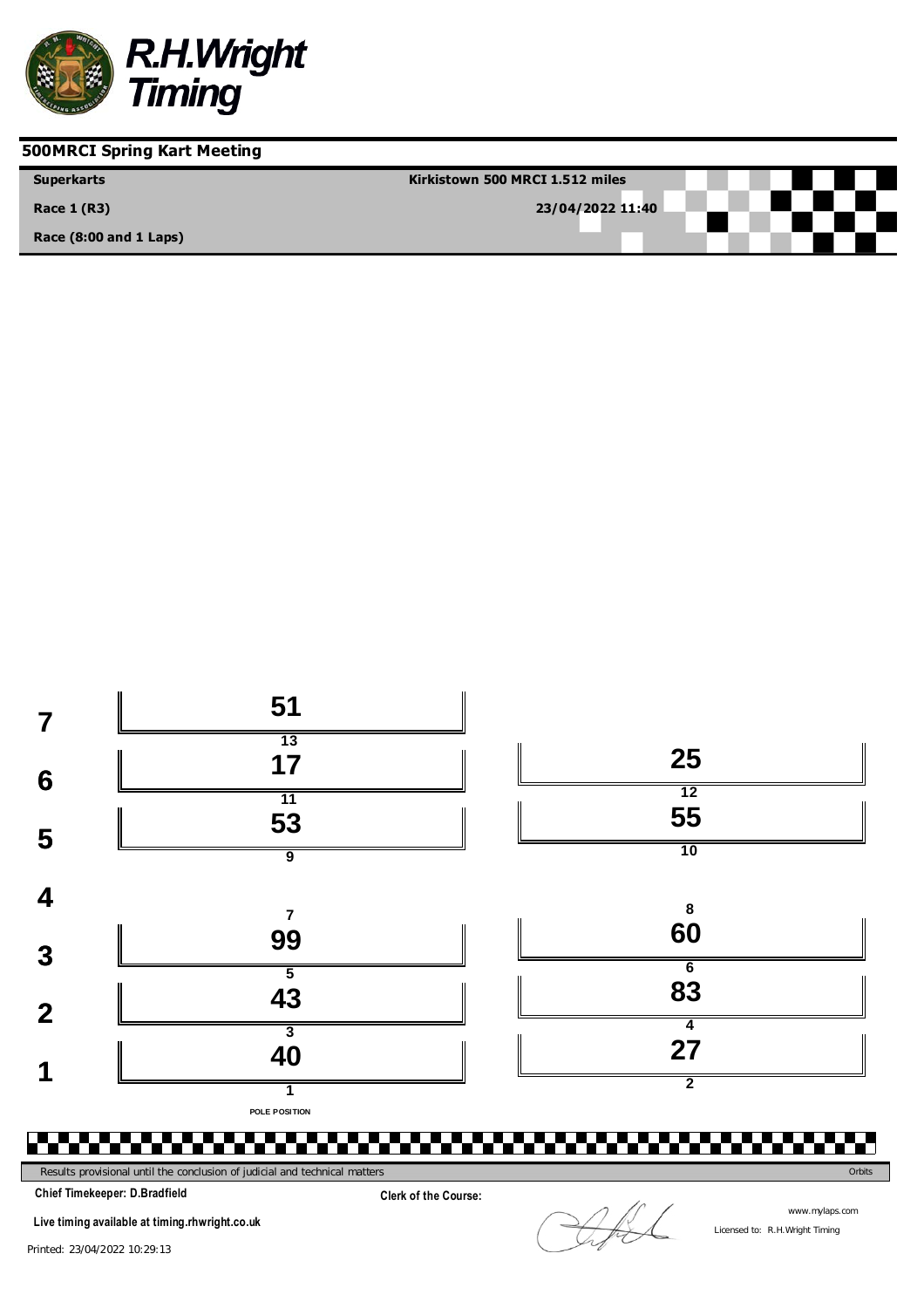

| <b>Superkarts</b>          | Kirkistown 500 MRCI 1.512 miles |
|----------------------------|---------------------------------|
| <b>Race 1 (R3)</b>         | 23/04/2022 11:40                |
| Race $(8:00$ and $1$ Laps) |                                 |



**Clerk of the Course:**

Results provisional until the conclusion of judicial and technical matters **Orbits** Orbits Concerns of the conclusion of judicial and technical matters **Orbits** Orbits **Orbits** Orbits

**Chief Timekeeper: D.Bradfield**

**Live timing available at timing.rhwright.co.uk**

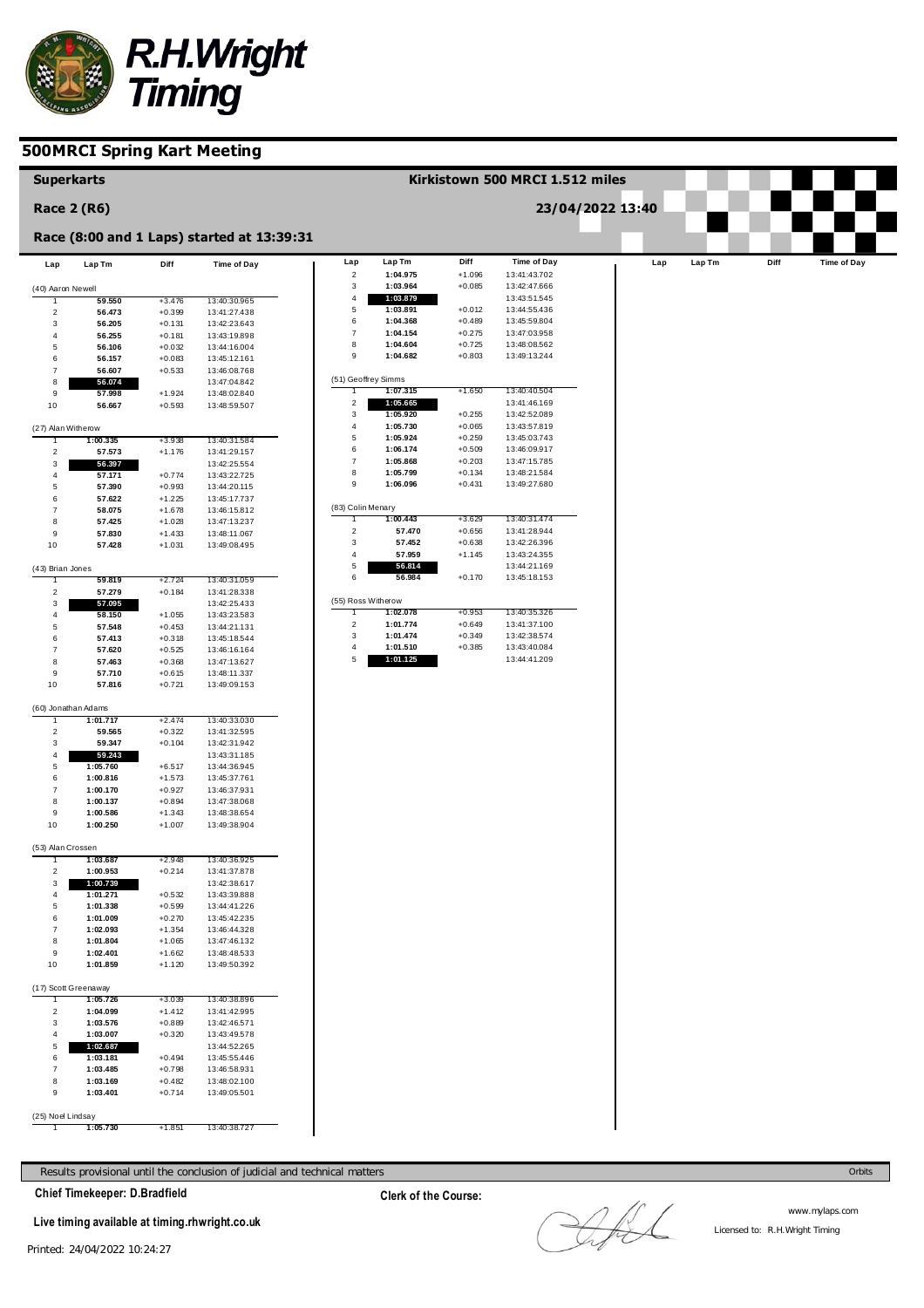

| <b>Superkarts</b>             |                      |                      |                                            |                     |                      |                      | Kirkistown 500 MRCI 1.512 miles |                  |     |        |      |                    |
|-------------------------------|----------------------|----------------------|--------------------------------------------|---------------------|----------------------|----------------------|---------------------------------|------------------|-----|--------|------|--------------------|
| <b>Race 2 (R6)</b>            |                      |                      |                                            |                     |                      |                      |                                 | 23/04/2022 13:40 |     |        |      |                    |
|                               |                      |                      | Race (8:00 and 1 Laps) started at 13:39:31 |                     |                      |                      |                                 |                  |     |        |      |                    |
| Lap                           | Lap Tm               | Diff                 | Time of Day                                | Lap                 | Lap Tm               | Diff                 | Time of Day                     |                  | Lap | Lap Tm | Diff | <b>Time of Day</b> |
| (40) Aaron Newell             |                      |                      |                                            | $\overline{c}$<br>3 | 1:04.975<br>1:03.964 | $+1.096$<br>$+0.085$ | 13:41:43.702<br>13:42:47.666    |                  |     |        |      |                    |
|                               | 59.550               | $+3.476$             | 13:40:30.965                               | 4                   | 1:03.879             |                      | 13:43:51.545                    |                  |     |        |      |                    |
| $\overline{2}$                | 56.473               | $+0.399$             | 13:41:27.438                               | 5                   | 1:03.891             | $+0.012$             | 13:44:55.436                    |                  |     |        |      |                    |
| 3                             | 56.205               | $+0.131$             | 13:42:23.643                               | 6                   | 1:04.368             | $+0.489$             | 13:45:59.804                    |                  |     |        |      |                    |
| $\overline{4}$                | 56.255               | $+0.181$             | 13:43:19.898                               | $\overline{7}$<br>8 | 1:04.154<br>1:04.604 | $+0.275$             | 13:47:03.958<br>13:48:08.562    |                  |     |        |      |                    |
| 5                             | 56.106               | $+0.032$             | 13:44:16.004                               | 9                   | 1:04.682             | $+0.725$<br>$+0.803$ | 13:49:13.244                    |                  |     |        |      |                    |
| 6                             | 56.157<br>56.607     | $+0.083$             | 13:45:12.161                               |                     |                      |                      |                                 |                  |     |        |      |                    |
| $\overline{7}$<br>8           | 56.074               | $+0.533$             | 13:46:08.768<br>13:47:04.842               | (51) Geoffrey Simms |                      |                      |                                 |                  |     |        |      |                    |
| 9                             | 57.998               | $+1.924$             | 13:48:02.840                               |                     | 1:07.315             | $+1.650$             | 13:40:40.504                    |                  |     |        |      |                    |
| 10                            | 56.667               | $+0.593$             | 13:48:59.507                               | $\overline{c}$      | 1:05.665             |                      | 13:41:46.169                    |                  |     |        |      |                    |
|                               |                      |                      |                                            | 3                   | 1:05.920             | $+0.255$             | 13:42:52.089                    |                  |     |        |      |                    |
| (27) Alan Witherow            |                      |                      |                                            | $\overline{4}$      | 1:05.730             | $+0.065$             | 13:43:57.819                    |                  |     |        |      |                    |
|                               | 1:00.335             | $+3.938$             | 13:40:31.584                               | $\overline{5}$      | 1:05.924             | $+0.259$             | 13:45:03.743                    |                  |     |        |      |                    |
| $\overline{\mathbf{c}}$       | 57.573               | $+1.176$             | 13:41:29.157                               | 6                   | 1:06.174             | $+0.509$             | 13:46:09.917                    |                  |     |        |      |                    |
| $\ensuremath{\mathsf{3}}$     | 56.397               |                      | 13:42:25.554                               | $\overline{7}$      | 1:05.868             | $+0.203$             | 13:47:15.785                    |                  |     |        |      |                    |
| $\overline{\mathbf{4}}$       | 57.171               | $+0.774$             | 13:43:22.725                               | 8<br>9              | 1:05.799<br>1:06.096 | $+0.134$<br>$+0.431$ | 13:48:21.584<br>13:49:27.680    |                  |     |        |      |                    |
| 5                             | 57.390               | $+0.993$             | 13:44:20.115                               |                     |                      |                      |                                 |                  |     |        |      |                    |
| 6<br>$\overline{7}$           | 57.622<br>58.075     | $+1.225$<br>$+1.678$ | 13:45:17.737<br>13:46:15.812               | (83) Colin Menary   |                      |                      |                                 |                  |     |        |      |                    |
| 8                             | 57.425               | $+1.028$             | 13:47:13.237                               | 1                   | 1:00.443             | $+3.629$             | 13:40:31.474                    |                  |     |        |      |                    |
| 9                             | 57.830               | $+1.433$             | 13:48:11.067                               | $\overline{c}$      | 57.470               | $+0.656$             | 13:41:28.944                    |                  |     |        |      |                    |
| 10                            | 57.428               | $+1.031$             | 13:49:08.495                               | 3                   | 57.452               | $+0.638$             | 13:42:26.396                    |                  |     |        |      |                    |
|                               |                      |                      |                                            | $\overline{4}$      | 57.959               | $+1.145$             | 13:43:24.355                    |                  |     |        |      |                    |
| (43) Brian Jones              |                      |                      |                                            | 5                   | 56.814               |                      | 13:44:21.169                    |                  |     |        |      |                    |
|                               | 59.819               | +2.724               | 13:40:31.059                               | 6                   | 56.984               | $+0.170$             | 13:45:18.153                    |                  |     |        |      |                    |
| $\overline{2}$                | 57.279               | $+0.184$             | 13:41:28.338                               | (55) Ross Witherow  |                      |                      |                                 |                  |     |        |      |                    |
| $\ensuremath{\mathsf{3}}$     | 57.095               |                      | 13:42:25.433                               | 1                   | 1:02.078             | $+0.953$             | 13:40:35.326                    |                  |     |        |      |                    |
| 4<br>5                        | 58.150<br>57.548     | $+1.055$<br>$+0.453$ | 13:43:23.583<br>13:44:21.131               | $\overline{2}$      | 1:01.774             | $+0.649$             | 13:41:37.100                    |                  |     |        |      |                    |
| 6                             | 57.413               | $+0.318$             | 13:45:18.544                               | 3                   | 1:01.474             | $+0.349$             | 13:42:38.574                    |                  |     |        |      |                    |
| $\overline{7}$                | 57.620               | $+0.525$             | 13:46:16.164                               | $\overline{4}$      | 1:01.510             | $+0.385$             | 13:43:40.084                    |                  |     |        |      |                    |
| 8                             | 57.463               | $+0.368$             | 13:47:13.627                               | 5                   | 1:01.125             |                      | 13:44:41.209                    |                  |     |        |      |                    |
| 9                             | 57.710               | $+0.615$             | 13:48:11.337                               |                     |                      |                      |                                 |                  |     |        |      |                    |
| 10                            | 57.816               | $+0.721$             | 13:49:09.153                               |                     |                      |                      |                                 |                  |     |        |      |                    |
|                               |                      |                      |                                            |                     |                      |                      |                                 |                  |     |        |      |                    |
| (60) Jonathan Adams           | 1:01.717             | +2.474               | 13:40:33.030                               |                     |                      |                      |                                 |                  |     |        |      |                    |
| $\overline{2}$                | 59.565               | $+0.322$             | 13:41:32.595                               |                     |                      |                      |                                 |                  |     |        |      |                    |
| 3                             | 59.347               | $+0.104$             | 13:42:31.942                               |                     |                      |                      |                                 |                  |     |        |      |                    |
| $\overline{\mathbf{4}}$       | 59.243               |                      | 13:43:31.185                               |                     |                      |                      |                                 |                  |     |        |      |                    |
| 5                             | 1:05.760             | $+6.517$             | 13:44:36.945                               |                     |                      |                      |                                 |                  |     |        |      |                    |
| 6                             | 1:00.816             | $+1.573$             | 13:45:37.761                               |                     |                      |                      |                                 |                  |     |        |      |                    |
| $\overline{7}$                | 1:00.170             | $+0.927$             | 13:46:37.931                               |                     |                      |                      |                                 |                  |     |        |      |                    |
| 8                             | 1:00.137             | $+0.894$             | 13:47:38.068                               |                     |                      |                      |                                 |                  |     |        |      |                    |
| 9<br>10                       | 1:00.586<br>1:00.250 | $+1.343$<br>$+1.007$ | 13:48:38.654<br>13:49:38.904               |                     |                      |                      |                                 |                  |     |        |      |                    |
|                               |                      |                      |                                            |                     |                      |                      |                                 |                  |     |        |      |                    |
| (53) Alan Crossen             |                      |                      |                                            |                     |                      |                      |                                 |                  |     |        |      |                    |
|                               | 1:03.687             | +2.948               | 13:40:36.925                               |                     |                      |                      |                                 |                  |     |        |      |                    |
| $\overline{\mathbf{c}}$       | 1:00.953             | $+0.214$             | 13:41:37.878                               |                     |                      |                      |                                 |                  |     |        |      |                    |
| $\ensuremath{\mathsf{3}}$     | 1:00.739             |                      | 13:42:38.617                               |                     |                      |                      |                                 |                  |     |        |      |                    |
| 4                             | 1:01.271             | $+0.532$             | 13:43:39.888                               |                     |                      |                      |                                 |                  |     |        |      |                    |
| $\,$ 5 $\,$                   | 1:01.338             | $+0.599$             | 13:44:41.226                               |                     |                      |                      |                                 |                  |     |        |      |                    |
| 6<br>$\overline{7}$           | 1:01.009<br>1:02.093 | $+0.270$<br>$+1.354$ | 13:45:42.235<br>13:46:44.328               |                     |                      |                      |                                 |                  |     |        |      |                    |
| 8                             | 1:01.804             | $+1.065$             | 13:47:46.132                               |                     |                      |                      |                                 |                  |     |        |      |                    |
| 9                             | 1:02.401             | $+1.662$             | 13:48:48.533                               |                     |                      |                      |                                 |                  |     |        |      |                    |
| 10                            | 1:01.859             | $+1.120$             | 13:49:50.392                               |                     |                      |                      |                                 |                  |     |        |      |                    |
|                               |                      |                      |                                            |                     |                      |                      |                                 |                  |     |        |      |                    |
| (17) Scott Greenaway          |                      |                      |                                            |                     |                      |                      |                                 |                  |     |        |      |                    |
|                               | 1:05.726             | $+3.039$             | 13:40:38.896                               |                     |                      |                      |                                 |                  |     |        |      |                    |
| $\overline{\mathbf{c}}$       | 1:04.099             | $+1.412$             | 13:41:42.995                               |                     |                      |                      |                                 |                  |     |        |      |                    |
| 3                             | 1:03.576             | $+0.889$             | 13:42:46.571                               |                     |                      |                      |                                 |                  |     |        |      |                    |
| $\overline{4}$<br>$\,$ 5 $\,$ | 1:03.007<br>1:02.687 | $+0.320$             | 13:43:49.578<br>13:44:52.265               |                     |                      |                      |                                 |                  |     |        |      |                    |
| 6                             | 1:03.181             | $+0.494$             | 13:45:55.446                               |                     |                      |                      |                                 |                  |     |        |      |                    |
| $\boldsymbol{7}$              | 1:03.485             | $+0.798$             | 13:46:58.931                               |                     |                      |                      |                                 |                  |     |        |      |                    |
| $\bf8$                        | 1:03.169             | $+0.482$             | 13:48:02.100                               |                     |                      |                      |                                 |                  |     |        |      |                    |
| $\boldsymbol{9}$              | 1:03.401             | $+0.714$             | 13:49:05.501                               |                     |                      |                      |                                 |                  |     |        |      |                    |
|                               |                      |                      |                                            |                     |                      |                      |                                 |                  |     |        |      |                    |
| (25) Noel Lindsay             | 1:05.730             | $+1.851$             | 13:40:38.727                               |                     |                      |                      |                                 |                  |     |        |      |                    |

Results provisional until the conclusion of judicial and technical matters Orbits

**Chief Timekeeper: D.Bradfield**

**Live timing available at timing.rhwright.co.uk**

LAL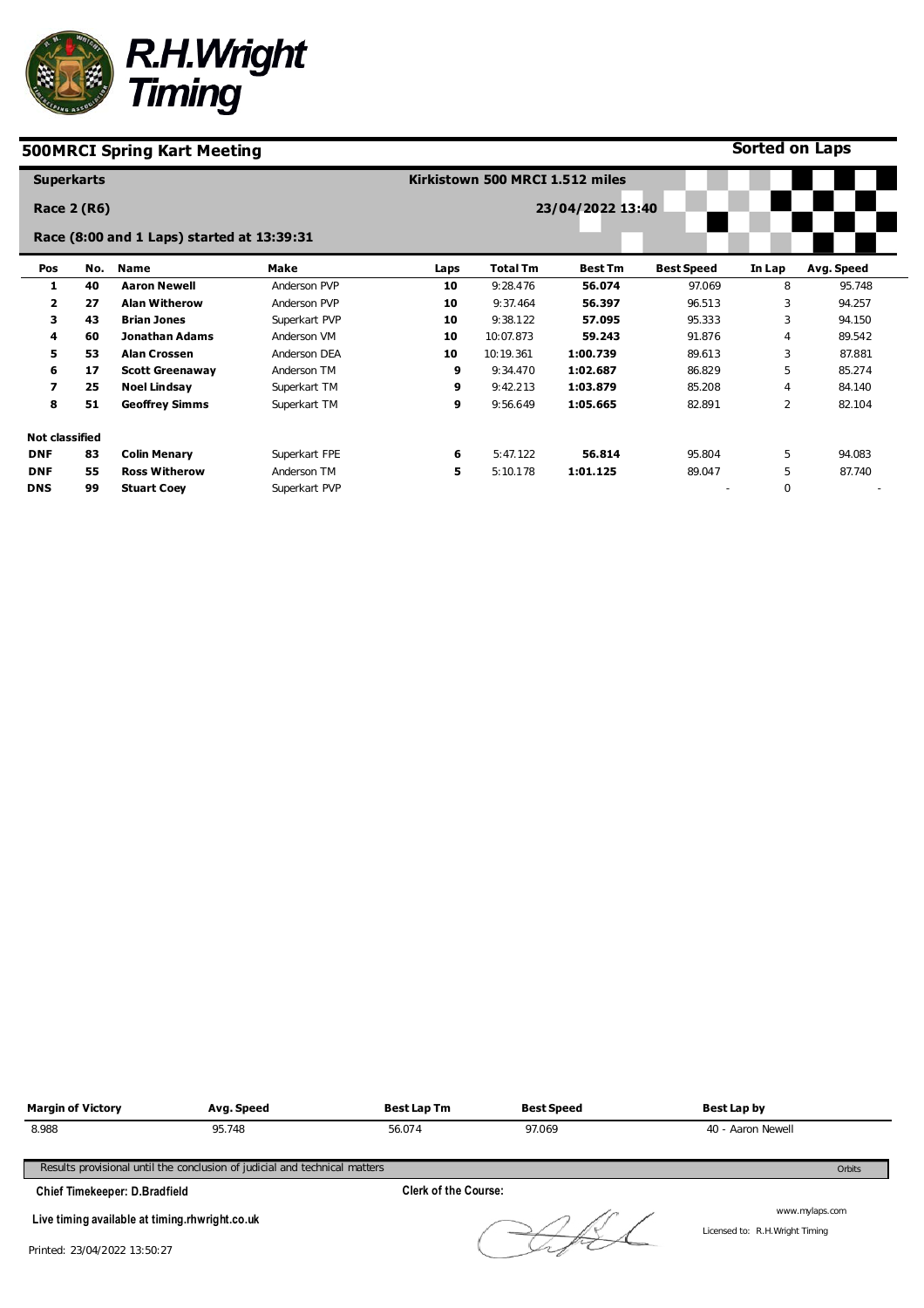

**Sorted on Laps**

| <b>Superkarts</b>     |     |                                            |               |      | Kirkistown 500 MRCI 1.512 miles |                  |                   |                |            |
|-----------------------|-----|--------------------------------------------|---------------|------|---------------------------------|------------------|-------------------|----------------|------------|
| <b>Race 2 (R6)</b>    |     |                                            |               |      |                                 | 23/04/2022 13:40 |                   |                |            |
|                       |     | Race (8:00 and 1 Laps) started at 13:39:31 |               |      |                                 |                  |                   |                |            |
| Pos                   | No. | <b>Name</b>                                | Make          | Laps | <b>Total Tm</b>                 | <b>Best Tm</b>   | <b>Best Speed</b> | In Lap         | Avg. Speed |
| 1                     | 40  | <b>Aaron Newell</b>                        | Anderson PVP  | 10   | 9:28.476                        | 56.074           | 97.069            | 8              | 95.748     |
| 2                     | 27  | <b>Alan Witherow</b>                       | Anderson PVP  | 10   | 9:37.464                        | 56.397           | 96.513            | 3              | 94.257     |
| 3                     | 43  | <b>Brian Jones</b>                         | Superkart PVP | 10   | 9:38.122                        | 57.095           | 95.333            | 3              | 94.150     |
| 4                     | 60  | <b>Jonathan Adams</b>                      | Anderson VM   | 10   | 10:07.873                       | 59.243           | 91.876            | $\overline{4}$ | 89.542     |
| 5                     | 53  | <b>Alan Crossen</b>                        | Anderson DEA  | 10   | 10:19.361                       | 1:00.739         | 89.613            | 3              | 87.881     |
| 6                     | 17  | <b>Scott Greenaway</b>                     | Anderson TM   | 9    | 9:34.470                        | 1:02.687         | 86.829            | 5              | 85.274     |
| 7                     | 25  | <b>Noel Lindsay</b>                        | Superkart TM  | 9    | 9:42.213                        | 1:03.879         | 85.208            | 4              | 84.140     |
| 8                     | 51  | <b>Geoffrey Simms</b>                      | Superkart TM  | 9    | 9:56.649                        | 1:05.665         | 82.891            | $\overline{2}$ | 82.104     |
| <b>Not classified</b> |     |                                            |               |      |                                 |                  |                   |                |            |
| <b>DNF</b>            | 83  | <b>Colin Menary</b>                        | Superkart FPE | 6    | 5:47.122                        | 56.814           | 95.804            | 5              | 94.083     |
| <b>DNF</b>            | 55  | <b>Ross Witherow</b>                       | Anderson TM   | 5    | 5:10.178                        | 1:01.125         | 89.047            | 5              | 87.740     |
| <b>DNS</b>            | 99  | <b>Stuart Coey</b>                         | Superkart PVP |      |                                 |                  |                   | $\mathbf 0$    |            |

| <b>Margin of Victory</b>                       | Avg. Speed                                                                 | <b>Best Lap Tm</b>          | <b>Best Speed</b> | Best Lap by       |
|------------------------------------------------|----------------------------------------------------------------------------|-----------------------------|-------------------|-------------------|
| 8.988                                          | 95.748                                                                     | 56.074                      | 97.069            | 40 - Aaron Newell |
|                                                | Results provisional until the conclusion of judicial and technical matters |                             |                   | Orbits            |
| <b>Chief Timekeeper: D.Bradfield</b>           |                                                                            | <b>Clerk of the Course:</b> |                   |                   |
| Live timing available at timing rhwright.co.uk |                                                                            |                             |                   | www.mylaps.com    |

Licensed to: R.H.Wright Timing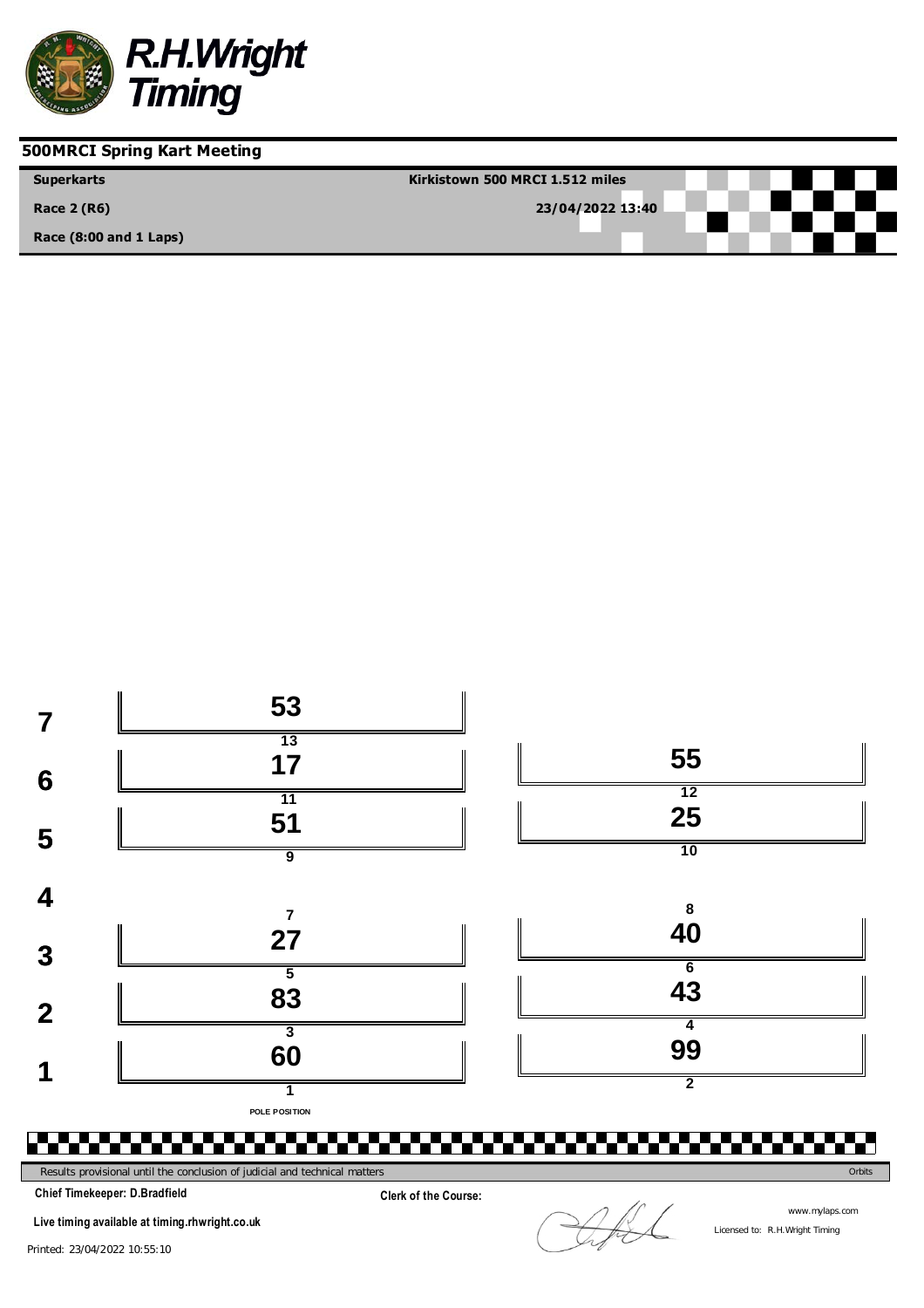

| <b>Superkarts</b>          | Kirkistown 500 MRCI 1.512 miles |
|----------------------------|---------------------------------|
| <b>Race 2 (R6)</b>         | 23/04/2022 13:40                |
| Race $(8:00$ and $1$ Laps) |                                 |



**Clerk of the Course:**

**Chief Timekeeper: D.Bradfield**

**Live timing available at timing.rhwright.co.uk**

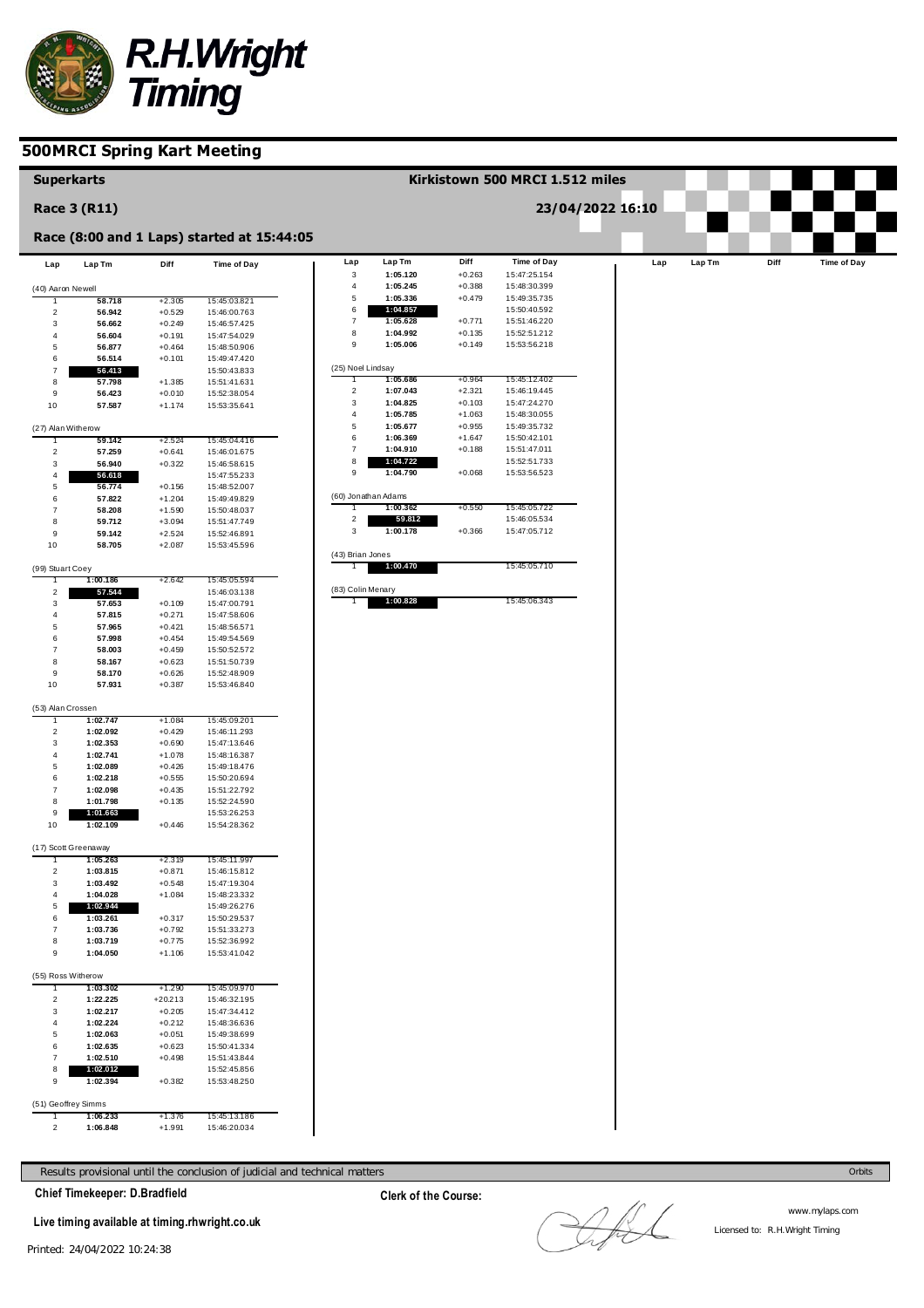

| <b>Superkarts</b>   |                      |                      |                                            |                               |                                 |                      | Kirkistown 500 MRCI 1.512 miles |                  |     |        |      |             |
|---------------------|----------------------|----------------------|--------------------------------------------|-------------------------------|---------------------------------|----------------------|---------------------------------|------------------|-----|--------|------|-------------|
|                     | <b>Race 3 (R11)</b>  |                      |                                            |                               |                                 |                      |                                 | 23/04/2022 16:10 |     |        |      |             |
|                     |                      |                      | Race (8:00 and 1 Laps) started at 15:44:05 |                               |                                 |                      |                                 |                  |     |        |      |             |
| Lap                 | Lap Tm               | Diff                 | <b>Time of Day</b>                         | Lap                           | Lap Tm                          | Diff                 | <b>Time of Day</b>              |                  | Lap | Lap Tm | Diff | Time of Day |
| (40) Aaron Newell   |                      |                      |                                            | $\mathsf 3$<br>$\overline{4}$ | 1:05.120<br>1:05.245            | $+0.263$<br>$+0.388$ | 15:47:25.154<br>15:48:30.399    |                  |     |        |      |             |
|                     | 58.718               | $+2.305$             | 15:45:03.821                               | $\,$ 5 $\,$                   | 1:05.336                        | $+0.479$             | 15:49:35.735                    |                  |     |        |      |             |
| $\overline{2}$      | 56.942               | $+0.529$             | 15:46:00.763                               | $\,6$                         | 1:04.857                        |                      | 15:50:40.592                    |                  |     |        |      |             |
| 3                   | 56.662               | $+0.249$             | 15:46:57.425                               | $\boldsymbol{7}$              | 1:05.628                        | $+0.771$             | 15:51:46.220                    |                  |     |        |      |             |
| 4                   | 56.604               | $+0.191$             | 15:47:54.029                               | 8<br>$\mathsf g$              | 1:04.992<br>1:05.006            | $+0.135$<br>$+0.149$ | 15:52:51.212<br>15:53:56.218    |                  |     |        |      |             |
| 5<br>6              | 56.877<br>56.514     | $+0.464$<br>$+0.101$ | 15:48:50.906<br>15:49:47.420               |                               |                                 |                      |                                 |                  |     |        |      |             |
| $\overline{7}$      | 56.413               |                      | 15:50:43.833                               | (25) Noel Lindsay             |                                 |                      |                                 |                  |     |        |      |             |
| 8                   | 57.798               | $+1.385$             | 15:51:41.631                               |                               | 1:05.686                        | $+0.964$             | 15:45:12.402                    |                  |     |        |      |             |
| 9                   | 56.423               | $+0.010$             | 15:52:38.054                               | $\overline{2}$                | 1:07.043                        | $+2.321$             | 15:46:19.445                    |                  |     |        |      |             |
| 10                  | 57.587               | $+1.174$             | 15:53:35.641                               | 3                             | 1:04.825                        | $+0.103$             | 15:47:24.270                    |                  |     |        |      |             |
|                     |                      |                      |                                            | $\overline{4}$<br>$\,$ 5 $\,$ | 1:05.785<br>1:05.677            | $+1.063$<br>$+0.955$ | 15:48:30.055<br>15:49:35.732    |                  |     |        |      |             |
| (27) Alan Witherow  | 59.142               | $+2.524$             | 15:45:04.416                               | $\,6$                         | 1:06.369                        | $+1.647$             | 15:50:42.101                    |                  |     |        |      |             |
| $\overline{2}$      | 57.259               | $+0.641$             | 15:46:01.675                               | $\boldsymbol{7}$              | 1:04.910                        | $+0.188$             | 15:51:47.011                    |                  |     |        |      |             |
| 3                   | 56.940               | $+0.322$             | 15:46:58.615                               | 8                             | 1:04.722                        |                      | 15:52:51.733                    |                  |     |        |      |             |
| 4                   | 56.618               |                      | 15:47:55.233                               | $\mathsf g$                   | 1:04.790                        | $+0.068$             | 15:53:56.523                    |                  |     |        |      |             |
| 5                   | 56.774               | $+0.156$             | 15:48:52.007                               |                               |                                 |                      |                                 |                  |     |        |      |             |
| 6                   | 57.822               | $+1.204$             | 15:49:49.829                               |                               | (60) Jonathan Adams<br>1:00.362 | $+0.550$             | 15:45:05.722                    |                  |     |        |      |             |
| 7<br>8              | 58.208<br>59.712     | $+1.590$<br>$+3.094$ | 15:50:48.037<br>15:51:47.749               | $\mathbf 2$                   | 59.812                          |                      | 15:46:05.534                    |                  |     |        |      |             |
| 9                   | 59.142               | $+2.524$             | 15:52:46.891                               | $\mathsf 3$                   | 1:00.178                        | $+0.366$             | 15:47:05.712                    |                  |     |        |      |             |
| 10                  | 58.705               | $+2.087$             | 15:53:45.596                               |                               |                                 |                      |                                 |                  |     |        |      |             |
|                     |                      |                      |                                            | (43) Brian Jones              |                                 |                      |                                 |                  |     |        |      |             |
| (99) Stuart Coey    |                      |                      |                                            |                               | 1:00.470                        |                      | 15:45:05.710                    |                  |     |        |      |             |
|                     | 1:00.186             | +2.642               | 15:45:05.594                               | (83) Colin Menary             |                                 |                      |                                 |                  |     |        |      |             |
| $\overline{2}$<br>3 | 57.544<br>57.653     | $+0.109$             | 15:46:03.138<br>15:47:00.791               |                               | 1:00.828                        |                      | 15:45:06.343                    |                  |     |        |      |             |
| 4                   | 57.815               | $+0.271$             | 15:47:58.606                               |                               |                                 |                      |                                 |                  |     |        |      |             |
| 5                   | 57.965               | $+0.421$             | 15:48:56.571                               |                               |                                 |                      |                                 |                  |     |        |      |             |
| 6                   | 57.998               | $+0.454$             | 15:49:54.569                               |                               |                                 |                      |                                 |                  |     |        |      |             |
| 7                   | 58.003               | $+0.459$             | 15:50:52.572                               |                               |                                 |                      |                                 |                  |     |        |      |             |
| 8                   | 58.167               | $+0.623$             | 15:51:50.739                               |                               |                                 |                      |                                 |                  |     |        |      |             |
| 9<br>10             | 58.170<br>57.931     | $+0.626$<br>$+0.387$ | 15:52:48.909<br>15:53:46.840               |                               |                                 |                      |                                 |                  |     |        |      |             |
|                     |                      |                      |                                            |                               |                                 |                      |                                 |                  |     |        |      |             |
| (53) Alan Crossen   |                      |                      |                                            |                               |                                 |                      |                                 |                  |     |        |      |             |
|                     | 1:02.747             | $+1.084$             | 15:45:09.201                               |                               |                                 |                      |                                 |                  |     |        |      |             |
| $\overline{2}$      | 1:02.092             | $+0.429$             | 15:46:11.293                               |                               |                                 |                      |                                 |                  |     |        |      |             |
| 3<br>$\overline{4}$ | 1:02.353<br>1:02.741 | $+0.690$<br>$+1.078$ | 15:47:13.646<br>15:48:16.387               |                               |                                 |                      |                                 |                  |     |        |      |             |
| 5                   | 1:02.089             | $+0.426$             | 15:49:18.476                               |                               |                                 |                      |                                 |                  |     |        |      |             |
| 6                   | 1:02.218             | $+0.555$             | 15:50:20.694                               |                               |                                 |                      |                                 |                  |     |        |      |             |
| $\overline{7}$      | 1:02.098             | $+0.435$             | 15:51:22.792                               |                               |                                 |                      |                                 |                  |     |        |      |             |
| 8                   | 1:01.798             | $+0.135$             | 15:52:24.590                               |                               |                                 |                      |                                 |                  |     |        |      |             |
| 9<br>10             | 1:01.663<br>1:02.109 | $+0.446$             | 15:53:26.253<br>15:54:28.362               |                               |                                 |                      |                                 |                  |     |        |      |             |
|                     |                      |                      |                                            |                               |                                 |                      |                                 |                  |     |        |      |             |
|                     | (17) Scott Greenaway |                      |                                            |                               |                                 |                      |                                 |                  |     |        |      |             |
|                     | 1.05.203             | +2.319               | 15:45:11.997                               |                               |                                 |                      |                                 |                  |     |        |      |             |
| 2                   | 1:03.815             | $+0.871$             | 15:46:15.812                               |                               |                                 |                      |                                 |                  |     |        |      |             |
| 3                   | 1:03.492             | $+0.548$             | 15:47:19.304                               |                               |                                 |                      |                                 |                  |     |        |      |             |
| 4<br>5              | 1:04.028<br>1:02.944 | $+1.084$             | 15:48:23.332<br>15:49:26.276               |                               |                                 |                      |                                 |                  |     |        |      |             |
| 6                   | 1:03.261             | $+0.317$             | 15:50:29.537                               |                               |                                 |                      |                                 |                  |     |        |      |             |
| $\overline{7}$      | 1:03.736             | $+0.792$             | 15:51:33.273                               |                               |                                 |                      |                                 |                  |     |        |      |             |
| 8                   | 1:03.719             | $+0.775$             | 15:52:36.992                               |                               |                                 |                      |                                 |                  |     |        |      |             |
| 9                   | 1:04.050             | $+1.106$             | 15:53:41.042                               |                               |                                 |                      |                                 |                  |     |        |      |             |
| (55) Ross Witherow  |                      |                      |                                            |                               |                                 |                      |                                 |                  |     |        |      |             |
|                     | 1:03.302             | +1.290               | 15:45:09.970                               |                               |                                 |                      |                                 |                  |     |        |      |             |
| $\overline{2}$      | 1:22.225             | $+20.213$            | 15:46:32.195                               |                               |                                 |                      |                                 |                  |     |        |      |             |
| 3                   | 1:02.217             | $+0.205$             | 15:47:34.412                               |                               |                                 |                      |                                 |                  |     |        |      |             |
| 4                   | 1:02.224             | $+0.212$             | 15:48:36.636                               |                               |                                 |                      |                                 |                  |     |        |      |             |
| 5                   | 1:02.063             | $+0.051$             | 15:49:38.699                               |                               |                                 |                      |                                 |                  |     |        |      |             |
| 6<br>$\overline{7}$ | 1:02.635<br>1:02.510 | $+0.623$<br>$+0.498$ | 15:50:41.334                               |                               |                                 |                      |                                 |                  |     |        |      |             |
| 8                   | 1:02.012             |                      | 15:51:43.844<br>15:52:45.856               |                               |                                 |                      |                                 |                  |     |        |      |             |
| 9                   | 1:02.394             | $+0.382$             | 15:53:48.250                               |                               |                                 |                      |                                 |                  |     |        |      |             |
|                     |                      |                      |                                            |                               |                                 |                      |                                 |                  |     |        |      |             |
| (51) Geoffrey Simms |                      |                      |                                            |                               |                                 |                      |                                 |                  |     |        |      |             |
| -1                  | 1:06.233             | $+1.376$             | 15:45:13.186                               |                               |                                 |                      |                                 |                  |     |        |      |             |
| $\overline{2}$      | 1:06.848             | $+1.991$             | 15:46:20.034                               |                               |                                 |                      |                                 |                  |     |        |      |             |

Results provisional until the conclusion of judicial and technical matters Orbits

**Chief Timekeeper: D.Bradfield**

**Live timing available at timing.rhwright.co.uk**

LAL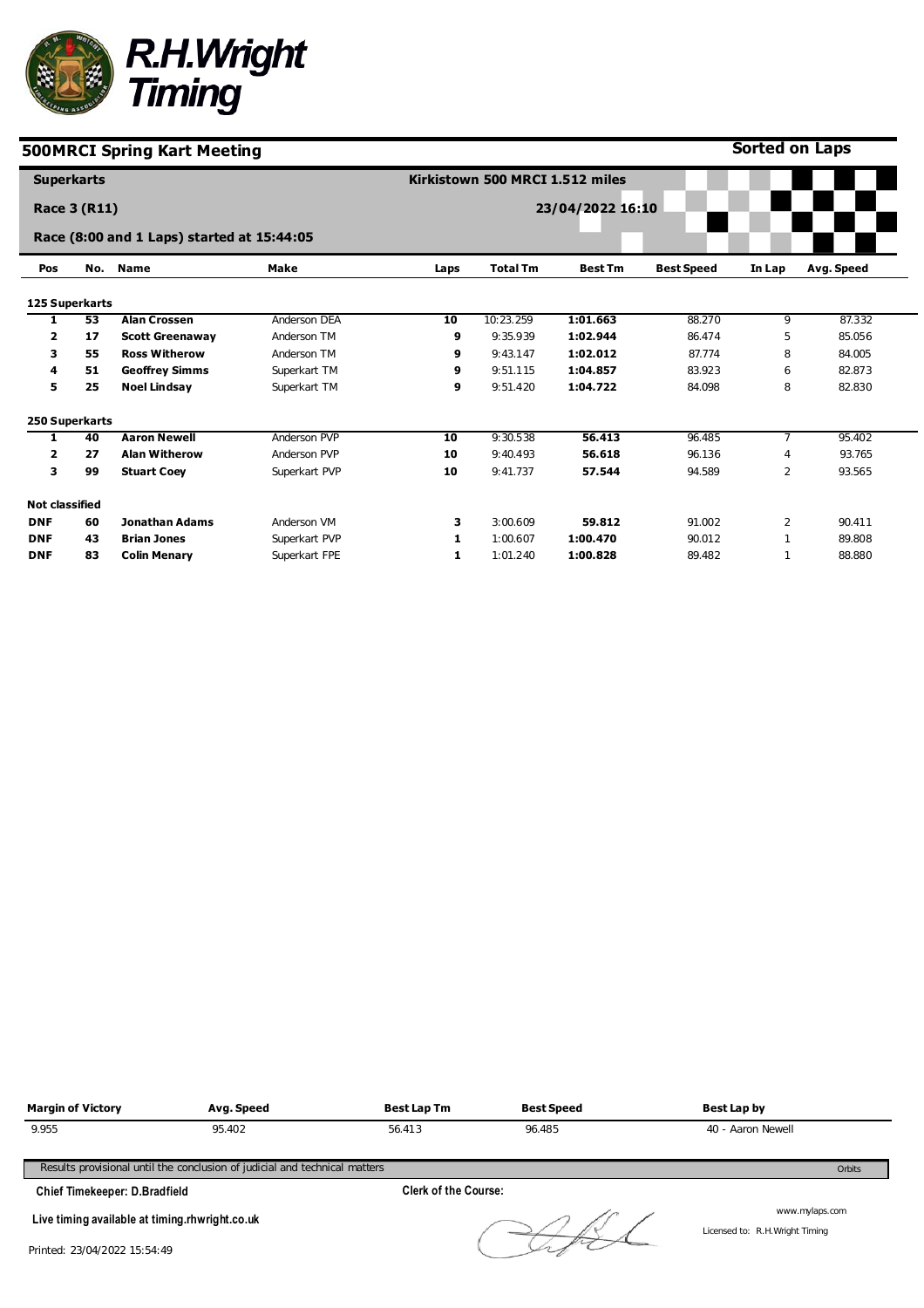

**Sorted on Laps**

|                       | <b>Superkarts</b> |                                            |               |      | Kirkistown 500 MRCI 1.512 miles |                  |                   |                |            |
|-----------------------|-------------------|--------------------------------------------|---------------|------|---------------------------------|------------------|-------------------|----------------|------------|
|                       | Race 3 (R11)      |                                            |               |      |                                 | 23/04/2022 16:10 |                   |                |            |
|                       |                   | Race (8:00 and 1 Laps) started at 15:44:05 |               |      |                                 |                  |                   |                |            |
| Pos                   | No.               | <b>Name</b>                                | <b>Make</b>   | Laps | <b>Total Tm</b>                 | <b>Best Tm</b>   | <b>Best Speed</b> | In Lap         | Avg. Speed |
| 125 Superkarts        |                   |                                            |               |      |                                 |                  |                   |                |            |
| 1                     | 53                | <b>Alan Crossen</b>                        | Anderson DEA  | 10   | 10:23.259                       | 1:01.663         | 88.270            | 9              | 87.332     |
| 2                     | 17                | <b>Scott Greenaway</b>                     | Anderson TM   | 9    | 9:35.939                        | 1:02.944         | 86.474            | 5              | 85.056     |
| з                     | 55                | <b>Ross Witherow</b>                       | Anderson TM   | 9    | 9:43.147                        | 1:02.012         | 87.774            | 8              | 84.005     |
| 4                     | 51                | <b>Geoffrey Simms</b>                      | Superkart TM  | 9    | 9:51.115                        | 1:04.857         | 83.923            | 6              | 82.873     |
| 5                     | 25                | <b>Noel Lindsay</b>                        | Superkart TM  | 9    | 9:51.420                        | 1:04.722         | 84.098            | 8              | 82.830     |
| 250 Superkarts        |                   |                                            |               |      |                                 |                  |                   |                |            |
| 1                     | 40                | <b>Aaron Newell</b>                        | Anderson PVP  | 10   | 9:30.538                        | 56.413           | 96.485            | $\overline{7}$ | 95.402     |
| $\overline{2}$        | 27                | <b>Alan Witherow</b>                       | Anderson PVP  | 10   | 9:40.493                        | 56.618           | 96.136            | $\overline{4}$ | 93.765     |
| 3                     | 99                | <b>Stuart Coey</b>                         | Superkart PVP | 10   | 9:41.737                        | 57.544           | 94.589            | 2              | 93.565     |
| <b>Not classified</b> |                   |                                            |               |      |                                 |                  |                   |                |            |
| <b>DNF</b>            | 60                | <b>Jonathan Adams</b>                      | Anderson VM   | 3    | 3:00.609                        | 59.812           | 91.002            | $\overline{2}$ | 90.411     |
| <b>DNF</b>            | 43                | <b>Brian Jones</b>                         | Superkart PVP | 1    | 1:00.607                        | 1:00.470         | 90.012            |                | 89.808     |
| <b>DNF</b>            | 83                | <b>Colin Menary</b>                        | Superkart FPE | 1    | 1:01.240                        | 1:00.828         | 89.482            |                | 88.880     |